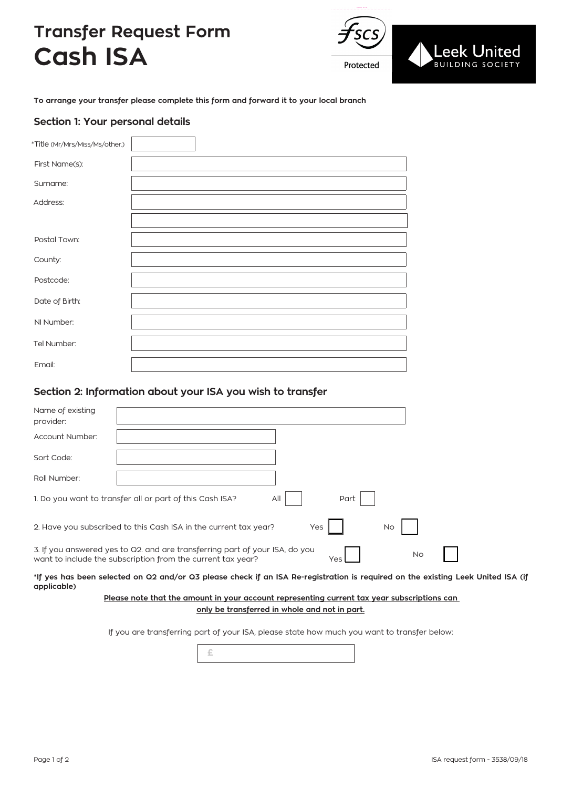# **Transfer Request Form Cash ISA**



**To arrange your transfer please complete this form and forward it to your local branch**

### **Section 1: Your personal details**

| *Title (Mr/Mrs/Miss/Ms/other.) |  |  |  |
|--------------------------------|--|--|--|
| First Name(s):                 |  |  |  |
| Surname:                       |  |  |  |
| Address:                       |  |  |  |
|                                |  |  |  |
| Postal Town:                   |  |  |  |
| County:                        |  |  |  |
| Postcode:                      |  |  |  |
| Date of Birth:                 |  |  |  |
| NI Number:                     |  |  |  |
|                                |  |  |  |
| Tel Number:                    |  |  |  |
| Email:                         |  |  |  |

## **Section 2: Information about your ISA you wish to transfer**

| Name of existing<br>provider:                                                                                                                                  |  |  |  |  |
|----------------------------------------------------------------------------------------------------------------------------------------------------------------|--|--|--|--|
| Account Number:                                                                                                                                                |  |  |  |  |
| Sort Code:                                                                                                                                                     |  |  |  |  |
| Roll Number:                                                                                                                                                   |  |  |  |  |
| All<br>1. Do you want to transfer all or part of this Cash ISA?<br>Part                                                                                        |  |  |  |  |
| 2. Have you subscribed to this Cash ISA in the current tax year?<br>Yes<br><b>No</b>                                                                           |  |  |  |  |
| 3. If you answered yes to Q2, and are transferring part of your ISA, do you<br><b>No</b><br>want to include the subscription from the current tax year?<br>Yes |  |  |  |  |

**\*If yes has been selected on Q2 and/or Q3 please check if an ISA Re-registration is required on the existing Leek United ISA (if applicable)**

#### **Please note that the amount in your account representing current tax year subscriptions can only be transferred in whole and not in part.**

If you are transferring part of your ISA, please state how much you want to transfer below: